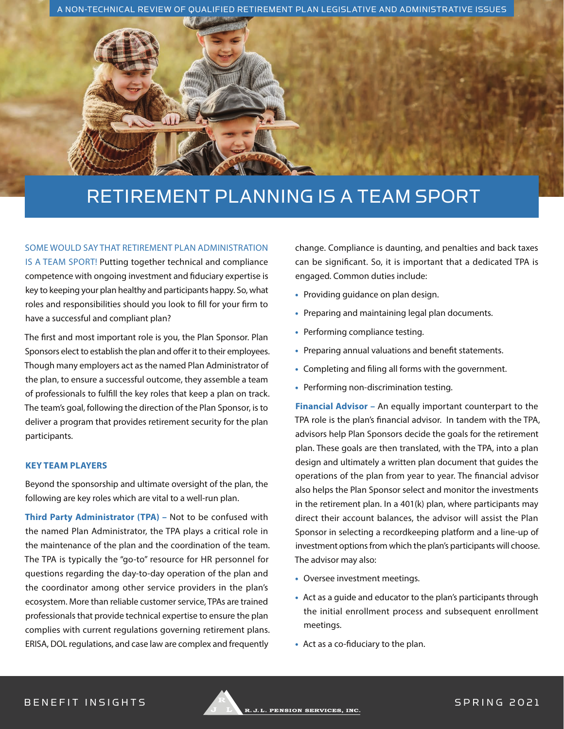



# RETIREMENT PLANNING IS A TEAM SPORT

### SOME WOULD SAY THAT RETIREMENT PLAN ADMINISTRATION

IS A TEAM SPORT! Putting together technical and compliance competence with ongoing investment and fiduciary expertise is key to keeping your plan healthy and participants happy. So, what roles and responsibilities should you look to fill for your firm to have a successful and compliant plan?

The first and most important role is you, the Plan Sponsor. Plan Sponsors elect to establish the plan and offer it to their employees. Though many employers act as the named Plan Administrator of the plan, to ensure a successful outcome, they assemble a team of professionals to fulfill the key roles that keep a plan on track. The team's goal, following the direction of the Plan Sponsor, is to deliver a program that provides retirement security for the plan participants.

## **KEY TEAM PLAYERS**

Beyond the sponsorship and ultimate oversight of the plan, the following are key roles which are vital to a well-run plan.

**Third Party Administrator (TPA) –** Not to be confused with the named Plan Administrator, the TPA plays a critical role in the maintenance of the plan and the coordination of the team. The TPA is typically the "go-to" resource for HR personnel for questions regarding the day-to-day operation of the plan and the coordinator among other service providers in the plan's ecosystem. More than reliable customer service, TPAs are trained professionals that provide technical expertise to ensure the plan complies with current regulations governing retirement plans. ERISA, DOL regulations, and case law are complex and frequently

change. Compliance is daunting, and penalties and back taxes can be significant. So, it is important that a dedicated TPA is engaged. Common duties include:

- **•** Providing guidance on plan design.
- **•** Preparing and maintaining legal plan documents.
- **•** Performing compliance testing.
- **•** Preparing annual valuations and benefit statements.
- **•** Completing and filing all forms with the government.
- **•** Performing non-discrimination testing.

**Financial Advisor –** An equally important counterpart to the TPA role is the plan's financial advisor. In tandem with the TPA, advisors help Plan Sponsors decide the goals for the retirement plan. These goals are then translated, with the TPA, into a plan design and ultimately a written plan document that guides the operations of the plan from year to year. The financial advisor also helps the Plan Sponsor select and monitor the investments in the retirement plan. In a 401(k) plan, where participants may direct their account balances, the advisor will assist the Plan Sponsor in selecting a recordkeeping platform and a line-up of investment options from which the plan's participants will choose. The advisor may also:

- **•** Oversee investment meetings.
- **•** Act as a guide and educator to the plan's participants through the initial enrollment process and subsequent enrollment meetings.
- **•** Act as a co-fiduciary to the plan.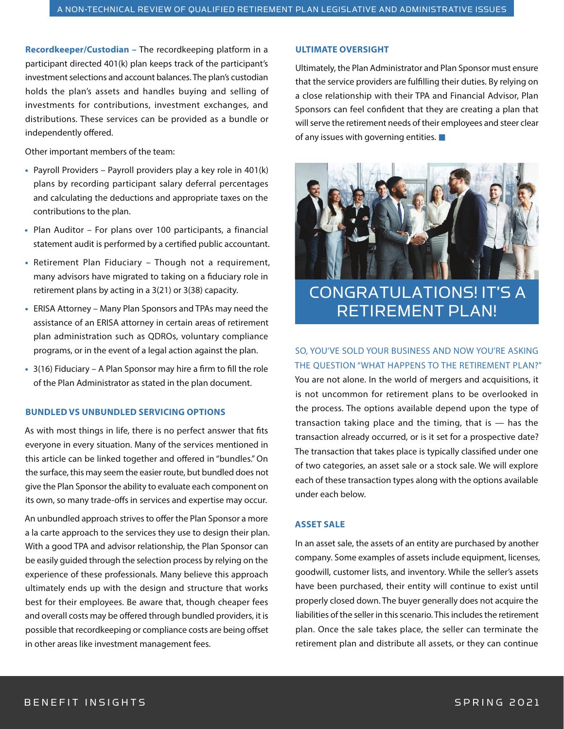**Recordkeeper/Custodian –** The recordkeeping platform in a participant directed 401(k) plan keeps track of the participant's investment selections and account balances. The plan's custodian holds the plan's assets and handles buying and selling of investments for contributions, investment exchanges, and distributions. These services can be provided as a bundle or independently offered.

Other important members of the team:

- **•** Payroll Providers Payroll providers play a key role in 401(k) plans by recording participant salary deferral percentages and calculating the deductions and appropriate taxes on the contributions to the plan.
- **•** Plan Auditor For plans over 100 participants, a financial statement audit is performed by a certified public accountant.
- **•** Retirement Plan Fiduciary Though not a requirement, many advisors have migrated to taking on a fiduciary role in retirement plans by acting in a 3(21) or 3(38) capacity.
- **•** ERISA Attorney Many Plan Sponsors and TPAs may need the assistance of an ERISA attorney in certain areas of retirement plan administration such as QDROs, voluntary compliance programs, or in the event of a legal action against the plan.
- **•** 3(16) Fiduciary A Plan Sponsor may hire a firm to fill the role of the Plan Administrator as stated in the plan document.

### **BUNDLED VS UNBUNDLED SERVICING OPTIONS**

As with most things in life, there is no perfect answer that fits everyone in every situation. Many of the services mentioned in this article can be linked together and offered in "bundles." On the surface, this may seem the easier route, but bundled does not give the Plan Sponsor the ability to evaluate each component on its own, so many trade-offs in services and expertise may occur.

An unbundled approach strives to offer the Plan Sponsor a more a la carte approach to the services they use to design their plan. With a good TPA and advisor relationship, the Plan Sponsor can be easily guided through the selection process by relying on the experience of these professionals. Many believe this approach ultimately ends up with the design and structure that works best for their employees. Be aware that, though cheaper fees and overall costs may be offered through bundled providers, it is possible that recordkeeping or compliance costs are being offset in other areas like investment management fees.

### **ULTIMATE OVERSIGHT**

Ultimately, the Plan Administrator and Plan Sponsor must ensure that the service providers are fulfilling their duties. By relying on a close relationship with their TPA and Financial Advisor, Plan Sponsors can feel confident that they are creating a plan that will serve the retirement needs of their employees and steer clear of any issues with governing entities. **■**



CONGRATULATIONS! IT'S A RETIREMENT PLAN!

SO, YOU'VE SOLD YOUR BUSINESS AND NOW YOU'RE ASKING THE QUESTION "WHAT HAPPENS TO THE RETIREMENT PLAN?"

You are not alone. In the world of mergers and acquisitions, it is not uncommon for retirement plans to be overlooked in the process. The options available depend upon the type of transaction taking place and the timing, that is  $-$  has the transaction already occurred, or is it set for a prospective date? The transaction that takes place is typically classified under one of two categories, an asset sale or a stock sale. We will explore each of these transaction types along with the options available under each below.

### **ASSET SALE**

In an asset sale, the assets of an entity are purchased by another company. Some examples of assets include equipment, licenses, goodwill, customer lists, and inventory. While the seller's assets have been purchased, their entity will continue to exist until properly closed down. The buyer generally does not acquire the liabilities of the seller in this scenario. This includes the retirement plan. Once the sale takes place, the seller can terminate the retirement plan and distribute all assets, or they can continue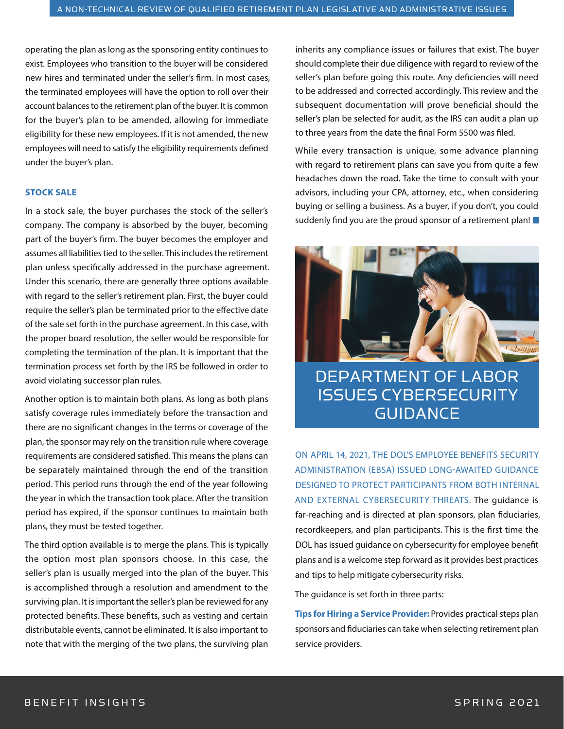operating the plan as long as the sponsoring entity continues to exist. Employees who transition to the buyer will be considered new hires and terminated under the seller's firm. In most cases, the terminated employees will have the option to roll over their account balances to the retirement plan of the buyer. It is common for the buyer's plan to be amended, allowing for immediate eligibility for these new employees. If it is not amended, the new employees will need to satisfy the eligibility requirements defined under the buyer's plan.

### **STOCK SALE**

In a stock sale, the buyer purchases the stock of the seller's company. The company is absorbed by the buyer, becoming part of the buyer's firm. The buyer becomes the employer and assumes all liabilities tied to the seller. This includes the retirement plan unless specifically addressed in the purchase agreement. Under this scenario, there are generally three options available with regard to the seller's retirement plan. First, the buyer could require the seller's plan be terminated prior to the effective date of the sale set forth in the purchase agreement. In this case, with the proper board resolution, the seller would be responsible for completing the termination of the plan. It is important that the termination process set forth by the IRS be followed in order to avoid violating successor plan rules.

Another option is to maintain both plans. As long as both plans satisfy coverage rules immediately before the transaction and there are no significant changes in the terms or coverage of the plan, the sponsor may rely on the transition rule where coverage requirements are considered satisfied. This means the plans can be separately maintained through the end of the transition period. This period runs through the end of the year following the year in which the transaction took place. After the transition period has expired, if the sponsor continues to maintain both plans, they must be tested together.

The third option available is to merge the plans. This is typically the option most plan sponsors choose. In this case, the seller's plan is usually merged into the plan of the buyer. This is accomplished through a resolution and amendment to the surviving plan. It is important the seller's plan be reviewed for any protected benefits. These benefits, such as vesting and certain distributable events, cannot be eliminated. It is also important to note that with the merging of the two plans, the surviving plan

inherits any compliance issues or failures that exist. The buyer should complete their due diligence with regard to review of the seller's plan before going this route. Any deficiencies will need to be addressed and corrected accordingly. This review and the subsequent documentation will prove beneficial should the seller's plan be selected for audit, as the IRS can audit a plan up to three years from the date the final Form 5500 was filed.

While every transaction is unique, some advance planning with regard to retirement plans can save you from quite a few headaches down the road. Take the time to consult with your advisors, including your CPA, attorney, etc., when considering buying or selling a business. As a buyer, if you don't, you could suddenly find you are the proud sponsor of a retirement plan! **■**



DEPARTMENT OF LABOR ISSUES CYBERSECURITY GUIDANCE

ON APRIL 14, 2021, THE DOL'S EMPLOYEE BENEFITS SECURITY ADMINISTRATION (EBSA) ISSUED LONG-AWAITED GUIDANCE DESIGNED TO PROTECT PARTICIPANTS FROM BOTH INTERNAL AND EXTERNAL CYBERSECURITY THREATS. The guidance is far-reaching and is directed at plan sponsors, plan fiduciaries, recordkeepers, and plan participants. This is the first time the DOL has issued guidance on cybersecurity for employee benefit plans and is a welcome step forward as it provides best practices and tips to help mitigate cybersecurity risks.

The guidance is set forth in three parts:

**Tips for Hiring a Service Provider:** Provides practical steps plan sponsors and fiduciaries can take when selecting retirement plan service providers.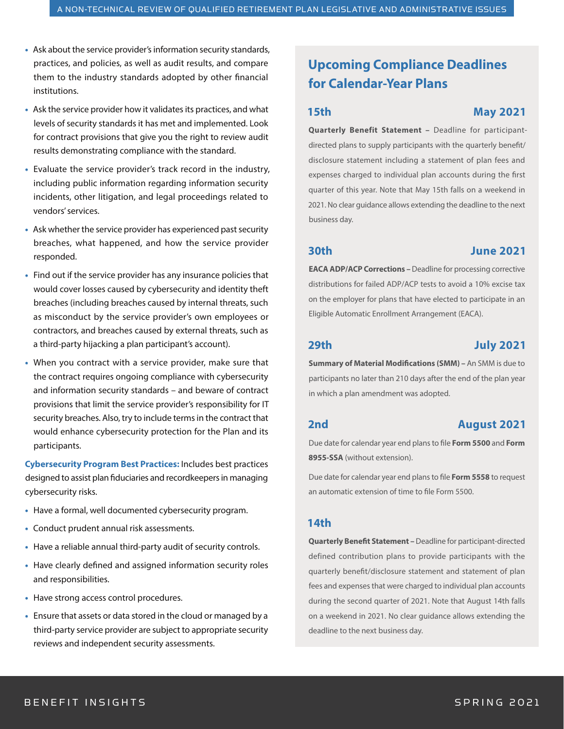- **•** Ask about the service provider's information security standards, practices, and policies, as well as audit results, and compare them to the industry standards adopted by other financial institutions.
- **•** Ask the service provider how it validates its practices, and what levels of security standards it has met and implemented. Look for contract provisions that give you the right to review audit results demonstrating compliance with the standard.
- **•** Evaluate the service provider's track record in the industry, including public information regarding information security incidents, other litigation, and legal proceedings related to vendors' services.
- **•** Ask whether the service provider has experienced past security breaches, what happened, and how the service provider responded.
- **•** Find out if the service provider has any insurance policies that would cover losses caused by cybersecurity and identity theft breaches (including breaches caused by internal threats, such as misconduct by the service provider's own employees or contractors, and breaches caused by external threats, such as a third-party hijacking a plan participant's account).
- **•** When you contract with a service provider, make sure that the contract requires ongoing compliance with cybersecurity and information security standards – and beware of contract provisions that limit the service provider's responsibility for IT security breaches. Also, try to include terms in the contract that would enhance cybersecurity protection for the Plan and its participants.

**Cybersecurity Program Best Practices:** Includes best practices designed to assist plan fiduciaries and recordkeepers in managing cybersecurity risks.

- **•** Have a formal, well documented cybersecurity program.
- **•** Conduct prudent annual risk assessments.
- **•** Have a reliable annual third-party audit of security controls.
- **•** Have clearly defined and assigned information security roles and responsibilities.
- **•** Have strong access control procedures.
- **•** Ensure that assets or data stored in the cloud or managed by a third-party service provider are subject to appropriate security reviews and independent security assessments.

# **Upcoming Compliance Deadlines for Calendar-Year Plans**

# **15th May 2021**

**Quarterly Benefit Statement –** Deadline for participantdirected plans to supply participants with the quarterly benefit/ disclosure statement including a statement of plan fees and expenses charged to individual plan accounts during the first quarter of this year. Note that May 15th falls on a weekend in 2021. No clear guidance allows extending the deadline to the next business day.

# **30th June 2021**

**EACA ADP/ACP Corrections –** Deadline for processing corrective distributions for failed ADP/ACP tests to avoid a 10% excise tax on the employer for plans that have elected to participate in an Eligible Automatic Enrollment Arrangement (EACA).

# **29th July 2021**

**Summary of Material Modifications (SMM) –** An SMM is due to participants no later than 210 days after the end of the plan year in which a plan amendment was adopted.

# **2nd August 2021**

Due date for calendar year end plans to file **Form 5500** and **Form 8955-SSA** (without extension).

Due date for calendar year end plans to file **Form 5558** to request an automatic extension of time to file Form 5500.

# **14th**

**Quarterly Benefit Statement –** Deadline for participant-directed defined contribution plans to provide participants with the quarterly benefit/disclosure statement and statement of plan fees and expenses that were charged to individual plan accounts during the second quarter of 2021. Note that August 14th falls on a weekend in 2021. No clear guidance allows extending the deadline to the next business day.